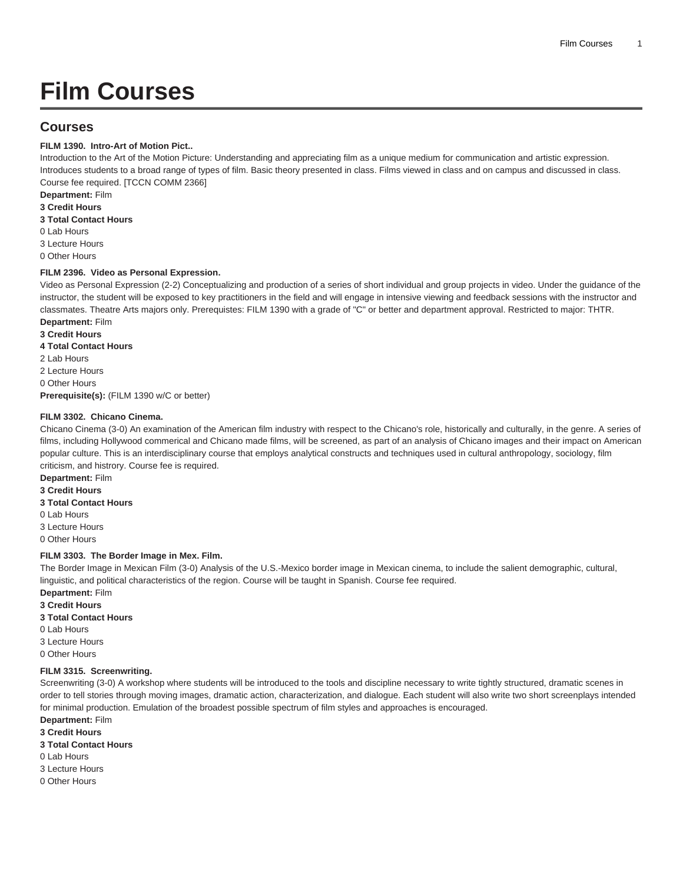# **Film Courses**

# **Courses**

# **FILM 1390. Intro-Art of Motion Pict..**

Introduction to the Art of the Motion Picture: Understanding and appreciating film as a unique medium for communication and artistic expression. Introduces students to a broad range of types of film. Basic theory presented in class. Films viewed in class and on campus and discussed in class. Course fee required. [TCCN COMM 2366]

**Department:** Film

**3 Credit Hours**

**3 Total Contact Hours**

0 Lab Hours

3 Lecture Hours

0 Other Hours

#### **FILM 2396. Video as Personal Expression.**

Video as Personal Expression (2-2) Conceptualizing and production of a series of short individual and group projects in video. Under the guidance of the instructor, the student will be exposed to key practitioners in the field and will engage in intensive viewing and feedback sessions with the instructor and classmates. Theatre Arts majors only. Prerequistes: [FILM 1390](/search/?P=FILM%201390) with a grade of "C" or better and department approval. Restricted to major: THTR.

**Department:** Film

**3 Credit Hours 4 Total Contact Hours**

2 Lab Hours

2 Lecture Hours

0 Other Hours

**Prerequisite(s):** ([FILM 1390](/search/?P=FILM%201390) w/C or better)

## **FILM 3302. Chicano Cinema.**

Chicano Cinema (3-0) An examination of the American film industry with respect to the Chicano's role, historically and culturally, in the genre. A series of films, including Hollywood commerical and Chicano made films, will be screened, as part of an analysis of Chicano images and their impact on American popular culture. This is an interdisciplinary course that employs analytical constructs and techniques used in cultural anthropology, sociology, film criticism, and histrory. Course fee is required.

**Department:** Film

**3 Credit Hours**

**3 Total Contact Hours**

0 Lab Hours

3 Lecture Hours

0 Other Hours

#### **FILM 3303. The Border Image in Mex. Film.**

The Border Image in Mexican Film (3-0) Analysis of the U.S.-Mexico border image in Mexican cinema, to include the salient demographic, cultural, linguistic, and political characteristics of the region. Course will be taught in Spanish. Course fee required.

**Department:** Film

**3 Credit Hours**

**3 Total Contact Hours**

0 Lab Hours

3 Lecture Hours

0 Other Hours

# **FILM 3315. Screenwriting.**

Screenwriting (3-0) A workshop where students will be introduced to the tools and discipline necessary to write tightly structured, dramatic scenes in order to tell stories through moving images, dramatic action, characterization, and dialogue. Each student will also write two short screenplays intended for minimal production. Emulation of the broadest possible spectrum of film styles and approaches is encouraged.

**Department:** Film

**3 Credit Hours**

**3 Total Contact Hours**

0 Lab Hours

3 Lecture Hours

0 Other Hours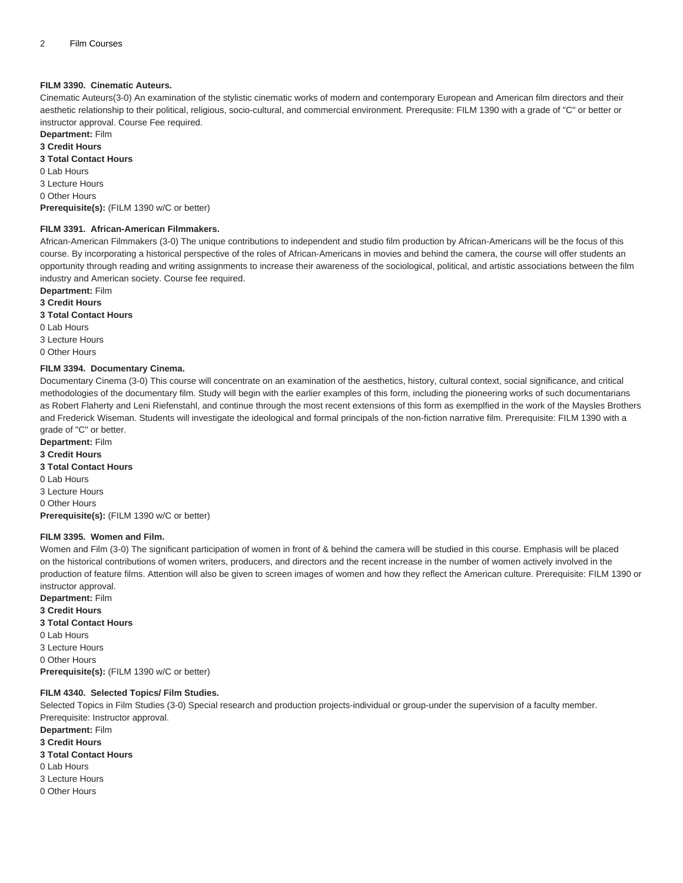#### **FILM 3390. Cinematic Auteurs.**

Cinematic Auteurs(3-0) An examination of the stylistic cinematic works of modern and contemporary European and American film directors and their aesthetic relationship to their political, religious, socio-cultural, and commercial environment. Prerequsite: [FILM 1390](/search/?P=FILM%201390) with a grade of "C" or better or instructor approval. Course Fee required.

**Department:** Film

**3 Credit Hours 3 Total Contact Hours**

0 Lab Hours

3 Lecture Hours 0 Other Hours **Prerequisite(s):** ([FILM 1390](/search/?P=FILM%201390) w/C or better)

#### **FILM 3391. African-American Filmmakers.**

African-American Filmmakers (3-0) The unique contributions to independent and studio film production by African-Americans will be the focus of this course. By incorporating a historical perspective of the roles of African-Americans in movies and behind the camera, the course will offer students an opportunity through reading and writing assignments to increase their awareness of the sociological, political, and artistic associations between the film industry and American society. Course fee required.

**Department:** Film

**3 Credit Hours**

**3 Total Contact Hours**

0 Lab Hours 3 Lecture Hours

0 Other Hours

#### **FILM 3394. Documentary Cinema.**

Documentary Cinema (3-0) This course will concentrate on an examination of the aesthetics, history, cultural context, social significance, and critical methodologies of the documentary film. Study will begin with the earlier examples of this form, including the pioneering works of such documentarians as Robert Flaherty and Leni Riefenstahl, and continue through the most recent extensions of this form as exemplfied in the work of the Maysles Brothers and Frederick Wiseman. Students will investigate the ideological and formal principals of the non-fiction narrative film. Prerequisite: [FILM 1390](/search/?P=FILM%201390) with a grade of "C" or better.

**Department:** Film **3 Credit Hours 3 Total Contact Hours** 0 Lab Hours 3 Lecture Hours 0 Other Hours **Prerequisite(s):** ([FILM 1390](/search/?P=FILM%201390) w/C or better)

#### **FILM 3395. Women and Film.**

Women and Film (3-0) The significant participation of women in front of & behind the camera will be studied in this course. Emphasis will be placed on the historical contributions of women writers, producers, and directors and the recent increase in the number of women actively involved in the production of feature films. Attention will also be given to screen images of women and how they reflect the American culture. Prerequisite: [FILM 1390](/search/?P=FILM%201390) or instructor approval.

**Department:** Film **3 Credit Hours 3 Total Contact Hours** 0 Lab Hours 3 Lecture Hours 0 Other Hours **Prerequisite(s):** ([FILM 1390](/search/?P=FILM%201390) w/C or better)

## **FILM 4340. Selected Topics/ Film Studies.**

Selected Topics in Film Studies (3-0) Special research and production projects-individual or group-under the supervision of a faculty member. Prerequisite: Instructor approval. **Department:** Film **3 Credit Hours 3 Total Contact Hours** 0 Lab Hours 3 Lecture Hours 0 Other Hours